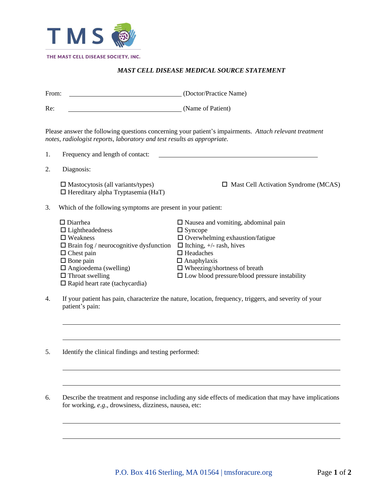

## *MAST CELL DISEASE MEDICAL SOURCE STATEMENT*

| From: |                                                                                                                                                                                                                                                              | (Doctor/Practice Name)                                                                                                                                                                                                                                                                |  |  |  |  |  |
|-------|--------------------------------------------------------------------------------------------------------------------------------------------------------------------------------------------------------------------------------------------------------------|---------------------------------------------------------------------------------------------------------------------------------------------------------------------------------------------------------------------------------------------------------------------------------------|--|--|--|--|--|
| Re:   |                                                                                                                                                                                                                                                              | (Name of Patient)                                                                                                                                                                                                                                                                     |  |  |  |  |  |
|       | notes, radiologist reports, laboratory and test results as appropriate.                                                                                                                                                                                      | Please answer the following questions concerning your patient's impairments. Attach relevant treatment                                                                                                                                                                                |  |  |  |  |  |
| 1.    | Frequency and length of contact:                                                                                                                                                                                                                             |                                                                                                                                                                                                                                                                                       |  |  |  |  |  |
| 2.    | Diagnosis:                                                                                                                                                                                                                                                   |                                                                                                                                                                                                                                                                                       |  |  |  |  |  |
|       | $\square$ Mastocytosis (all variants/types)<br>$\Box$ Hereditary alpha Tryptasemia (HaT)                                                                                                                                                                     | $\Box$ Mast Cell Activation Syndrome (MCAS)                                                                                                                                                                                                                                           |  |  |  |  |  |
| 3.    | Which of the following symptoms are present in your patient:                                                                                                                                                                                                 |                                                                                                                                                                                                                                                                                       |  |  |  |  |  |
|       | $\square$ Diarrhea<br>$\Box$ Lightheadedness<br>$\Box$ Weakness<br>$\Box$ Brain fog / neurocognitive dysfunction<br>$\Box$ Chest pain<br>$\Box$ Bone pain<br>$\Box$ Angioedema (swelling)<br>$\Box$ Throat swelling<br>$\Box$ Rapid heart rate (tachycardia) | $\Box$ Nausea and vomiting, abdominal pain<br>$\Box$ Syncope<br>$\Box$ Overwhelming exhaustion/fatigue<br>$\Box$ Itching, +/- rash, hives<br>$\Box$ Headaches<br>$\Box$ Anaphylaxis<br>$\Box$ Wheezing/shortness of breath<br>$\square$ Low blood pressure/blood pressure instability |  |  |  |  |  |

- 4. If your patient has pain, characterize the nature, location, frequency, triggers, and severity of your patient's pain:
- 5. Identify the clinical findings and testing performed:
- 6. Describe the treatment and response including any side effects of medication that may have implications for working, *e.g*., drowsiness, dizziness, nausea, etc: